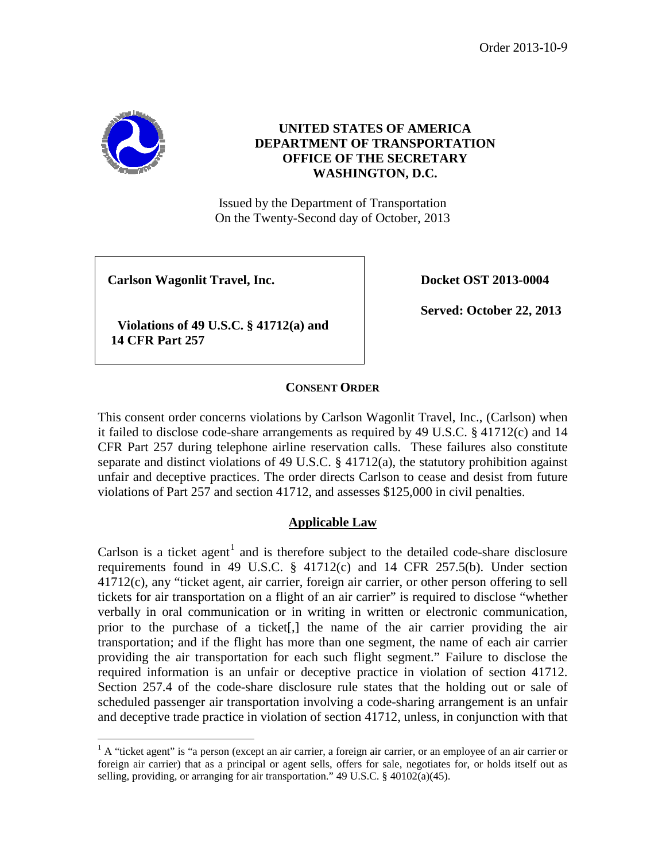Order 2013-10-9



# **UNITED STATES OF AMERICA DEPARTMENT OF TRANSPORTATION OFFICE OF THE SECRETARY WASHINGTON, D.C.**

Issued by the Department of Transportation On the Twenty-Second day of October, 2013

**Carlson Wagonlit Travel, Inc. Docket OST** 2013-0004

 **Violations of 49 U.S.C. § 41712(a) and 14 CFR Part 257**

**Served: October 22, 2013**

### **CONSENT ORDER**

This consent order concerns violations by Carlson Wagonlit Travel, Inc., (Carlson) when it failed to disclose code-share arrangements as required by 49 U.S.C. § 41712(c) and 14 CFR Part 257 during telephone airline reservation calls. These failures also constitute separate and distinct violations of 49 U.S.C.  $\S$  41712(a), the statutory prohibition against unfair and deceptive practices. The order directs Carlson to cease and desist from future violations of Part 257 and section 41712, and assesses \$125,000 in civil penalties.

### **Applicable Law**

Carlson is a ticket agent<sup>[1](#page-0-0)</sup> and is therefore subject to the detailed code-share disclosure requirements found in 49 U.S.C. § 41712(c) and 14 CFR 257.5(b). Under section 41712(c), any "ticket agent, air carrier, foreign air carrier, or other person offering to sell tickets for air transportation on a flight of an air carrier" is required to disclose "whether verbally in oral communication or in writing in written or electronic communication, prior to the purchase of a ticket[,] the name of the air carrier providing the air transportation; and if the flight has more than one segment, the name of each air carrier providing the air transportation for each such flight segment." Failure to disclose the required information is an unfair or deceptive practice in violation of section 41712. Section 257.4 of the code-share disclosure rule states that the holding out or sale of scheduled passenger air transportation involving a code-sharing arrangement is an unfair and deceptive trade practice in violation of section 41712, unless, in conjunction with that

<span id="page-0-0"></span> $<sup>1</sup>$  A "ticket agent" is "a person (except an air carrier, a foreign air carrier, or an employee of an air carrier or</sup> foreign air carrier) that as a principal or agent sells, offers for sale, negotiates for, or holds itself out as selling, providing, or arranging for air transportation." 49 U.S.C. § 40102(a)(45).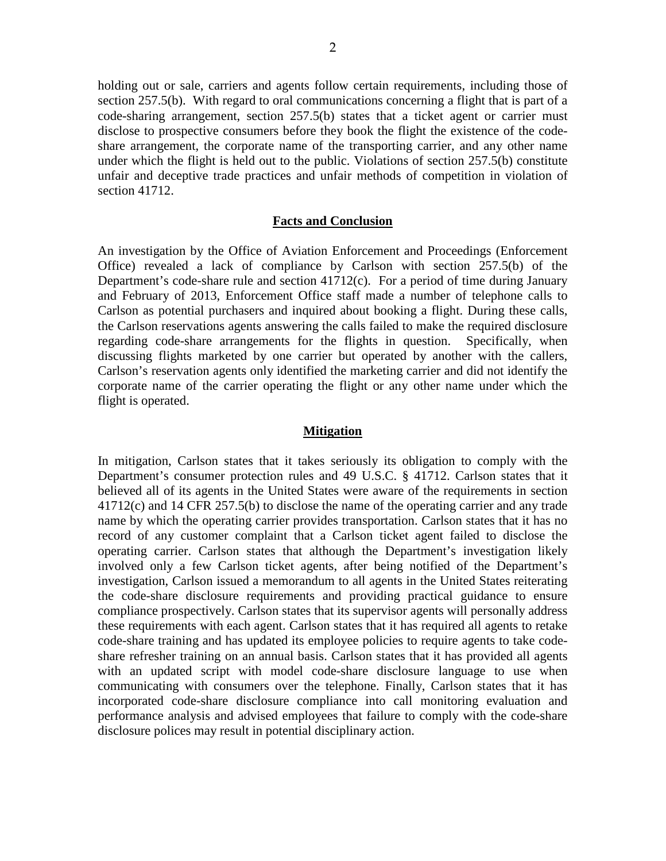holding out or sale, carriers and agents follow certain requirements, including those of section 257.5(b). With regard to oral communications concerning a flight that is part of a code-sharing arrangement, section 257.5(b) states that a ticket agent or carrier must disclose to prospective consumers before they book the flight the existence of the codeshare arrangement, the corporate name of the transporting carrier, and any other name under which the flight is held out to the public. Violations of section 257.5(b) constitute unfair and deceptive trade practices and unfair methods of competition in violation of section 41712.

#### **Facts and Conclusion**

An investigation by the Office of Aviation Enforcement and Proceedings (Enforcement Office) revealed a lack of compliance by Carlson with section 257.5(b) of the Department's code-share rule and section 41712(c). For a period of time during January and February of 2013, Enforcement Office staff made a number of telephone calls to Carlson as potential purchasers and inquired about booking a flight. During these calls, the Carlson reservations agents answering the calls failed to make the required disclosure regarding code-share arrangements for the flights in question. Specifically, when discussing flights marketed by one carrier but operated by another with the callers, Carlson's reservation agents only identified the marketing carrier and did not identify the corporate name of the carrier operating the flight or any other name under which the flight is operated.

#### **Mitigation**

In mitigation, Carlson states that it takes seriously its obligation to comply with the Department's consumer protection rules and 49 U.S.C. § 41712. Carlson states that it believed all of its agents in the United States were aware of the requirements in section 41712(c) and 14 CFR 257.5(b) to disclose the name of the operating carrier and any trade name by which the operating carrier provides transportation. Carlson states that it has no record of any customer complaint that a Carlson ticket agent failed to disclose the operating carrier. Carlson states that although the Department's investigation likely involved only a few Carlson ticket agents, after being notified of the Department's investigation, Carlson issued a memorandum to all agents in the United States reiterating the code-share disclosure requirements and providing practical guidance to ensure compliance prospectively. Carlson states that its supervisor agents will personally address these requirements with each agent. Carlson states that it has required all agents to retake code-share training and has updated its employee policies to require agents to take codeshare refresher training on an annual basis. Carlson states that it has provided all agents with an updated script with model code-share disclosure language to use when communicating with consumers over the telephone. Finally, Carlson states that it has incorporated code-share disclosure compliance into call monitoring evaluation and performance analysis and advised employees that failure to comply with the code-share disclosure polices may result in potential disciplinary action.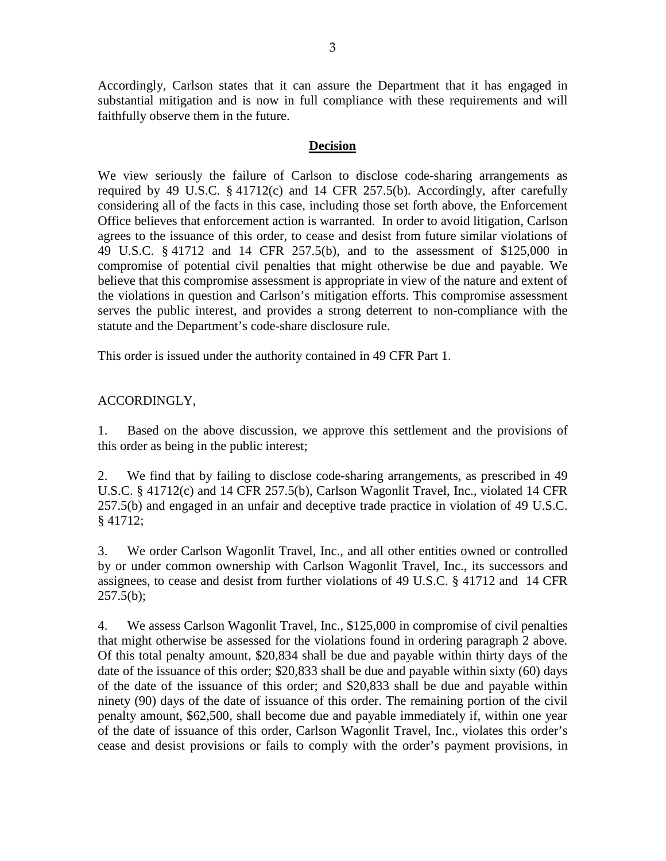Accordingly, Carlson states that it can assure the Department that it has engaged in substantial mitigation and is now in full compliance with these requirements and will faithfully observe them in the future.

### **Decision**

We view seriously the failure of Carlson to disclose code-sharing arrangements as required by 49 U.S.C. § 41712(c) and 14 CFR 257.5(b). Accordingly, after carefully considering all of the facts in this case, including those set forth above, the Enforcement Office believes that enforcement action is warranted. In order to avoid litigation, Carlson agrees to the issuance of this order, to cease and desist from future similar violations of 49 U.S.C. § 41712 and 14 CFR 257.5(b), and to the assessment of \$125,000 in compromise of potential civil penalties that might otherwise be due and payable. We believe that this compromise assessment is appropriate in view of the nature and extent of the violations in question and Carlson's mitigation efforts. This compromise assessment serves the public interest, and provides a strong deterrent to non-compliance with the statute and the Department's code-share disclosure rule.

This order is issued under the authority contained in 49 CFR Part 1.

## ACCORDINGLY,

1. Based on the above discussion, we approve this settlement and the provisions of this order as being in the public interest;

2. We find that by failing to disclose code-sharing arrangements, as prescribed in 49 U.S.C. § 41712(c) and 14 CFR 257.5(b), Carlson Wagonlit Travel, Inc., violated 14 CFR 257.5(b) and engaged in an unfair and deceptive trade practice in violation of 49 U.S.C. § 41712;

3. We order Carlson Wagonlit Travel, Inc., and all other entities owned or controlled by or under common ownership with Carlson Wagonlit Travel, Inc., its successors and assignees, to cease and desist from further violations of 49 U.S.C. § 41712 and 14 CFR  $257.5(b)$ ;

4. We assess Carlson Wagonlit Travel, Inc., \$125,000 in compromise of civil penalties that might otherwise be assessed for the violations found in ordering paragraph 2 above. Of this total penalty amount, \$20,834 shall be due and payable within thirty days of the date of the issuance of this order; \$20,833 shall be due and payable within sixty (60) days of the date of the issuance of this order; and \$20,833 shall be due and payable within ninety (90) days of the date of issuance of this order. The remaining portion of the civil penalty amount, \$62,500, shall become due and payable immediately if, within one year of the date of issuance of this order, Carlson Wagonlit Travel, Inc., violates this order's cease and desist provisions or fails to comply with the order's payment provisions, in